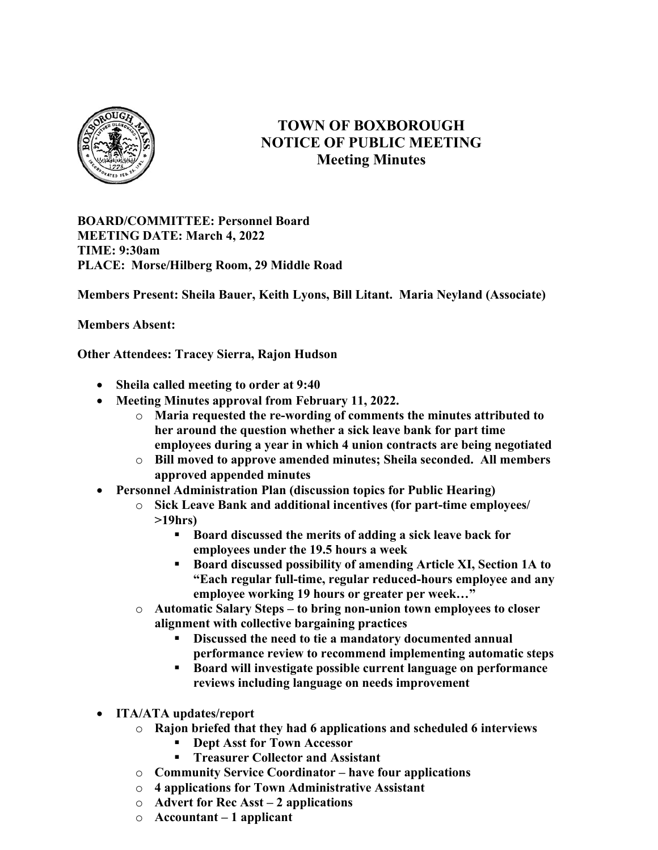

## TOWN OF BOXBOROUGH NOTICE OF PUBLIC MEETING Meeting Minutes

BOARD/COMMITTEE: Personnel Board MEETING DATE: March 4, 2022 TIME: 9:30am PLACE: Morse/Hilberg Room, 29 Middle Road

Members Present: Sheila Bauer, Keith Lyons, Bill Litant. Maria Neyland (Associate)

Members Absent:

Other Attendees: Tracey Sierra, Rajon Hudson

- Sheila called meeting to order at 9:40
- Meeting Minutes approval from February 11, 2022.
	- o Maria requested the re-wording of comments the minutes attributed to her around the question whether a sick leave bank for part time employees during a year in which 4 union contracts are being negotiated
	- o Bill moved to approve amended minutes; Sheila seconded. All members approved appended minutes
- Personnel Administration Plan (discussion topics for Public Hearing)
	- o Sick Leave Bank and additional incentives (for part-time employees/ >19hrs)
		- Board discussed the merits of adding a sick leave back for employees under the 19.5 hours a week
		- Board discussed possibility of amending Article XI, Section 1A to "Each regular full-time, regular reduced-hours employee and any employee working 19 hours or greater per week…"
	- o Automatic Salary Steps to bring non-union town employees to closer alignment with collective bargaining practices
		- Discussed the need to tie a mandatory documented annual performance review to recommend implementing automatic steps
		- Board will investigate possible current language on performance reviews including language on needs improvement
- ITA/ATA updates/report
	- o Rajon briefed that they had 6 applications and scheduled 6 interviews
		- Dept Asst for Town Accessor
		- **Treasurer Collector and Assistant**
	- o Community Service Coordinator have four applications
	- o 4 applications for Town Administrative Assistant
	- $\circ$  Advert for Rec Asst 2 applications
	- $\circ$  Accountant 1 applicant